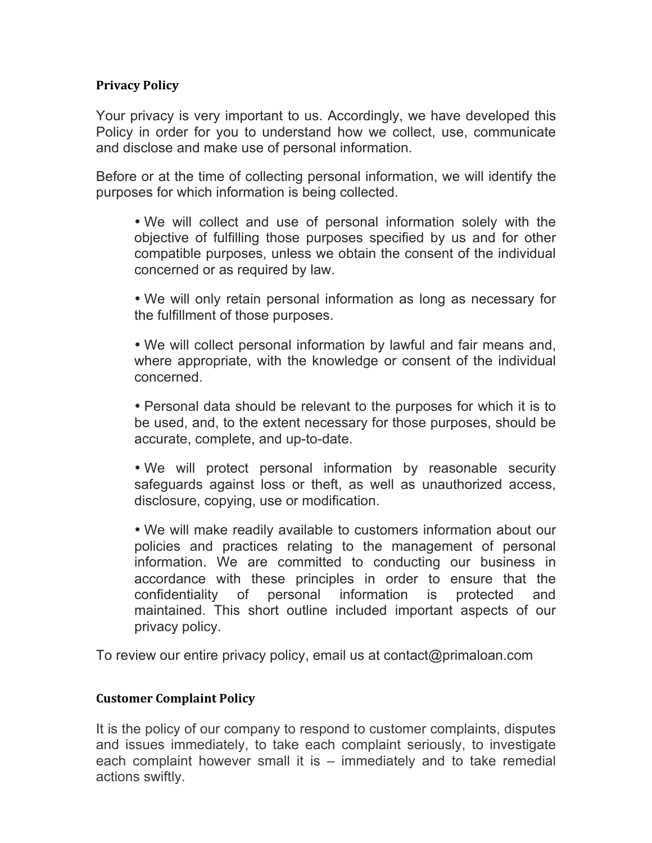## **Privacy Policy**

Your privacy is very important to us. Accordingly, we have developed this Policy in order for you to understand how we collect, use, communicate and disclose and make use of personal information.

Before or at the time of collecting personal information, we will identify the purposes for which information is being collected.

• We will collect and use of personal information solely with the objective of fulfilling those purposes specified by us and for other compatible purposes, unless we obtain the consent of the individual concerned or as required by law.

• We will only retain personal information as long as necessary for the fulfillment of those purposes.

• We will collect personal information by lawful and fair means and, where appropriate, with the knowledge or consent of the individual concerned.

• Personal data should be relevant to the purposes for which it is to be used, and, to the extent necessary for those purposes, should be accurate, complete, and up-to-date.

• We will protect personal information by reasonable security safeguards against loss or theft, as well as unauthorized access, disclosure, copying, use or modification.

• We will make readily available to customers information about our policies and practices relating to the management of personal information. We are committed to conducting our business in accordance with these principles in order to ensure that the confidentiality of personal information is protected and maintained. This short outline included important aspects of our privacy policy.

To review our entire privacy policy, email us at contact@primaloan.com

## **Customer Complaint Policy**

It is the policy of our company to respond to customer complaints, disputes and issues immediately, to take each complaint seriously, to investigate each complaint however small it is – immediately and to take remedial actions swiftly.